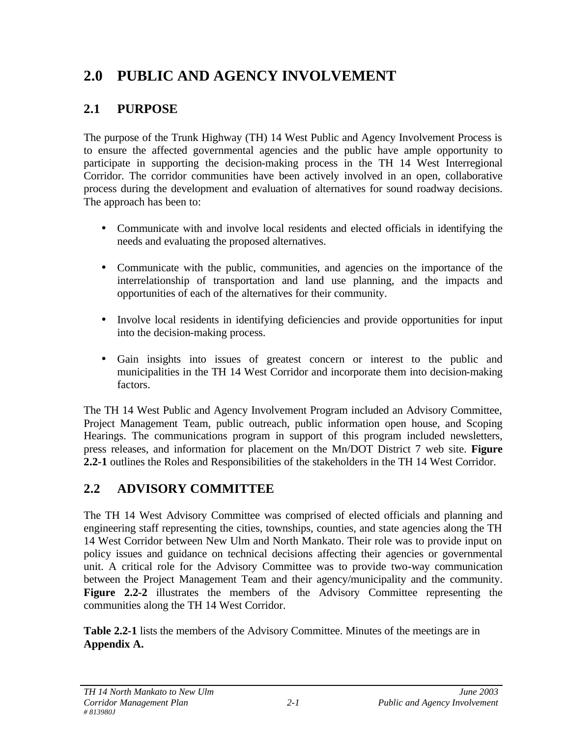# **2.0 PUBLIC AND AGENCY INVOLVEMENT**

## **2.1 PURPOSE**

The purpose of the Trunk Highway (TH) 14 West Public and Agency Involvement Process is to ensure the affected governmental agencies and the public have ample opportunity to participate in supporting the decision-making process in the TH 14 West Interregional Corridor. The corridor communities have been actively involved in an open, collaborative process during the development and evaluation of alternatives for sound roadway decisions. The approach has been to:

- Communicate with and involve local residents and elected officials in identifying the needs and evaluating the proposed alternatives.
- Communicate with the public, communities, and agencies on the importance of the interrelationship of transportation and land use planning, and the impacts and opportunities of each of the alternatives for their community.
- Involve local residents in identifying deficiencies and provide opportunities for input into the decision-making process.
- Gain insights into issues of greatest concern or interest to the public and municipalities in the TH 14 West Corridor and incorporate them into decision-making factors.

The TH 14 West Public and Agency Involvement Program included an Advisory Committee, Project Management Team, public outreach, public information open house, and Scoping Hearings. The communications program in support of this program included newsletters, press releases, and information for placement on the Mn/DOT District 7 web site. **Figure 2.2-1** outlines the Roles and Responsibilities of the stakeholders in the TH 14 West Corridor.

## **2.2 ADVISORY COMMITTEE**

The TH 14 West Advisory Committee was comprised of elected officials and planning and engineering staff representing the cities, townships, counties, and state agencies along the TH 14 West Corridor between New Ulm and North Mankato. Their role was to provide input on policy issues and guidance on technical decisions affecting their agencies or governmental unit. A critical role for the Advisory Committee was to provide two-way communication between the Project Management Team and their agency/municipality and the community. Figure 2.2-2 illustrates the members of the Advisory Committee representing the communities along the TH 14 West Corridor.

**Table 2.2-1** lists the members of the Advisory Committee. Minutes of the meetings are in **Appendix A.**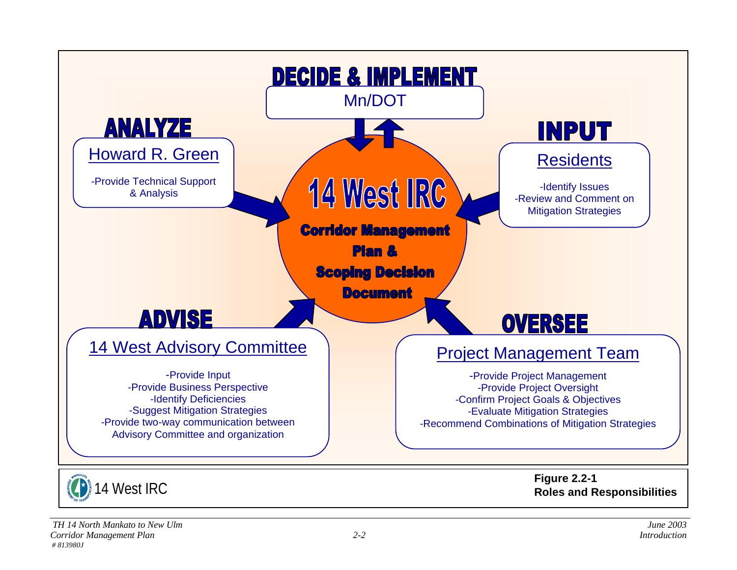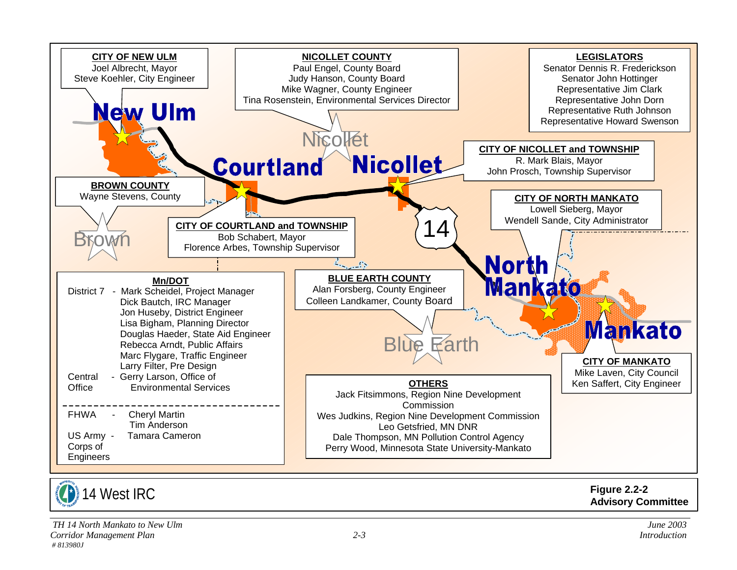

14 West IRC

**Figure 2.2-2 Advisory Committee**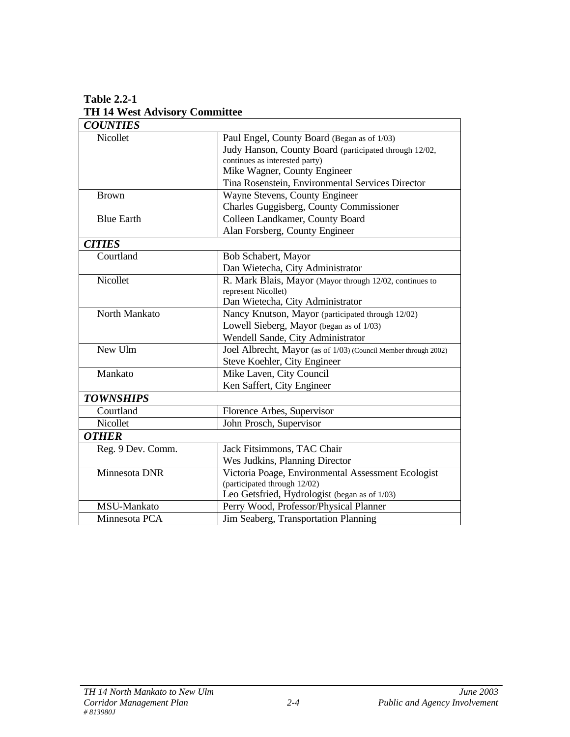| <b>COUNTIES</b>   |                                                                 |  |  |  |
|-------------------|-----------------------------------------------------------------|--|--|--|
| Nicollet          | Paul Engel, County Board (Began as of 1/03)                     |  |  |  |
|                   | Judy Hanson, County Board (participated through 12/02,          |  |  |  |
|                   | continues as interested party)                                  |  |  |  |
|                   | Mike Wagner, County Engineer                                    |  |  |  |
|                   | Tina Rosenstein, Environmental Services Director                |  |  |  |
| <b>Brown</b>      | Wayne Stevens, County Engineer                                  |  |  |  |
|                   | Charles Guggisberg, County Commissioner                         |  |  |  |
| <b>Blue Earth</b> | Colleen Landkamer, County Board                                 |  |  |  |
|                   | Alan Forsberg, County Engineer                                  |  |  |  |
| <b>CITIES</b>     |                                                                 |  |  |  |
| Courtland         | Bob Schabert, Mayor                                             |  |  |  |
|                   | Dan Wietecha, City Administrator                                |  |  |  |
| Nicollet          | R. Mark Blais, Mayor (Mayor through 12/02, continues to         |  |  |  |
|                   | represent Nicollet)                                             |  |  |  |
|                   | Dan Wietecha, City Administrator                                |  |  |  |
| North Mankato     | Nancy Knutson, Mayor (participated through 12/02)               |  |  |  |
|                   | Lowell Sieberg, Mayor (began as of 1/03)                        |  |  |  |
|                   | Wendell Sande, City Administrator                               |  |  |  |
| New Ulm           | Joel Albrecht, Mayor (as of 1/03) (Council Member through 2002) |  |  |  |
|                   | Steve Koehler, City Engineer                                    |  |  |  |
| Mankato           | Mike Laven, City Council                                        |  |  |  |
|                   | Ken Saffert, City Engineer                                      |  |  |  |
| <b>TOWNSHIPS</b>  |                                                                 |  |  |  |
| Courtland         | Florence Arbes, Supervisor                                      |  |  |  |
| Nicollet          | John Prosch, Supervisor                                         |  |  |  |
| <b>OTHER</b>      |                                                                 |  |  |  |
| Reg. 9 Dev. Comm. | Jack Fitsimmons, TAC Chair                                      |  |  |  |
|                   | Wes Judkins, Planning Director                                  |  |  |  |
| Minnesota DNR     | Victoria Poage, Environmental Assessment Ecologist              |  |  |  |
|                   | (participated through 12/02)                                    |  |  |  |
|                   | Leo Getsfried, Hydrologist (began as of 1/03)                   |  |  |  |
| MSU-Mankato       | Perry Wood, Professor/Physical Planner                          |  |  |  |
| Minnesota PCA     | Jim Seaberg, Transportation Planning                            |  |  |  |

**Table 2.2-1 TH 14 West Advisory Committee**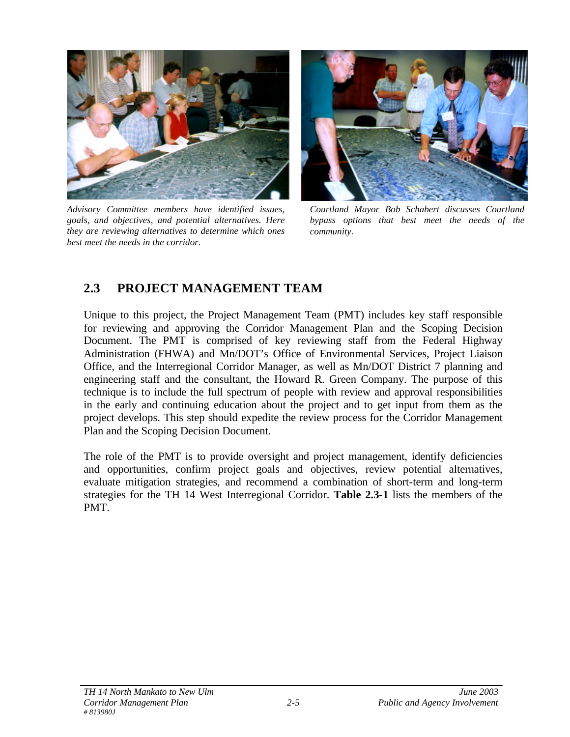

*Advisory Committee members have identified issues, goals, and objectives, and potential alternatives. Here they are reviewing alternatives to determine which ones best meet the needs in the corridor.*



*Courtland Mayor Bob Schabert discusses Courtland bypass options that best meet the needs of the community.*

## **2.3 PROJECT MANAGEMENT TEAM**

Unique to this project, the Project Management Team (PMT) includes key staff responsible for reviewing and approving the Corridor Management Plan and the Scoping Decision Document. The PMT is comprised of key reviewing staff from the Federal Highway Administration (FHWA) and Mn/DOT's Office of Environmental Services, Project Liaison Office, and the Interregional Corridor Manager, as well as Mn/DOT District 7 planning and engineering staff and the consultant, the Howard R. Green Company. The purpose of this technique is to include the full spectrum of people with review and approval responsibilities in the early and continuing education about the project and to get input from them as the project develops. This step should expedite the review process for the Corridor Management Plan and the Scoping Decision Document.

The role of the PMT is to provide oversight and project management, identify deficiencies and opportunities, confirm project goals and objectives, review potential alternatives, evaluate mitigation strategies, and recommend a combination of short-term and long-term strategies for the TH 14 West Interregional Corridor. **Table 2.3-1** lists the members of the PMT.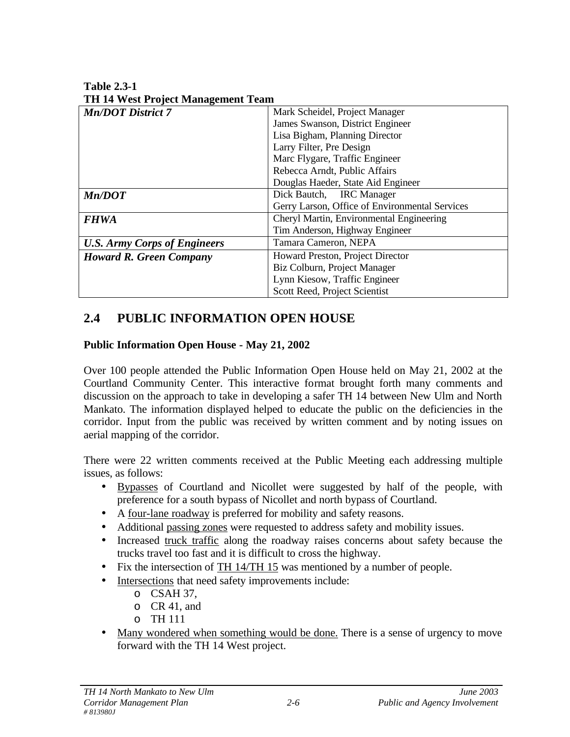**Table 2.3-1 TH 14 West Project Management Team**

| TH IT WEST FLOJECT MANAgement Team  |                                                |  |
|-------------------------------------|------------------------------------------------|--|
| <b>Mn/DOT</b> District 7            | Mark Scheidel, Project Manager                 |  |
|                                     | James Swanson, District Engineer               |  |
|                                     | Lisa Bigham, Planning Director                 |  |
|                                     | Larry Filter, Pre Design                       |  |
|                                     | Marc Flygare, Traffic Engineer                 |  |
|                                     | Rebecca Arndt, Public Affairs                  |  |
|                                     | Douglas Haeder, State Aid Engineer             |  |
| Mn/DOT                              | Dick Bautch, IRC Manager                       |  |
|                                     | Gerry Larson, Office of Environmental Services |  |
| <b>FHWA</b>                         | Cheryl Martin, Environmental Engineering       |  |
|                                     | Tim Anderson, Highway Engineer                 |  |
| <b>U.S. Army Corps of Engineers</b> | Tamara Cameron, NEPA                           |  |
| <b>Howard R. Green Company</b>      | Howard Preston, Project Director               |  |
|                                     | Biz Colburn, Project Manager                   |  |
|                                     | Lynn Kiesow, Traffic Engineer                  |  |
|                                     | Scott Reed, Project Scientist                  |  |

## **2.4 PUBLIC INFORMATION OPEN HOUSE**

### **Public Information Open House - May 21, 2002**

Over 100 people attended the Public Information Open House held on May 21, 2002 at the Courtland Community Center. This interactive format brought forth many comments and discussion on the approach to take in developing a safer TH 14 between New Ulm and North Mankato. The information displayed helped to educate the public on the deficiencies in the corridor. Input from the public was received by written comment and by noting issues on aerial mapping of the corridor.

There were 22 written comments received at the Public Meeting each addressing multiple issues, as follows:

- Bypasses of Courtland and Nicollet were suggested by half of the people, with preference for a south bypass of Nicollet and north bypass of Courtland.
- A four-lane roadway is preferred for mobility and safety reasons.
- Additional passing zones were requested to address safety and mobility issues.
- Increased truck traffic along the roadway raises concerns about safety because the trucks travel too fast and it is difficult to cross the highway.
- Fix the intersection of TH 14/TH 15 was mentioned by a number of people.
- Intersections that need safety improvements include:
	- o CSAH 37,
	- o CR 41, and
	- o TH 111
- Many wondered when something would be done. There is a sense of urgency to move forward with the TH 14 West project.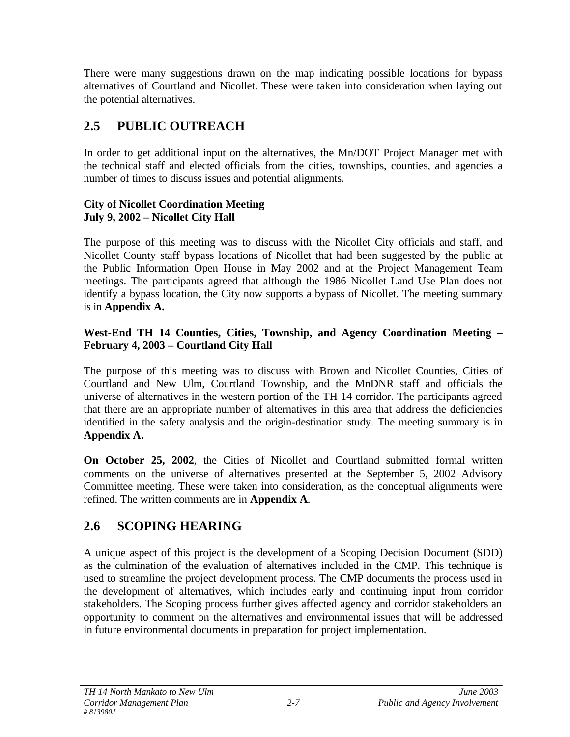There were many suggestions drawn on the map indicating possible locations for bypass alternatives of Courtland and Nicollet. These were taken into consideration when laying out the potential alternatives.

## **2.5 PUBLIC OUTREACH**

In order to get additional input on the alternatives, the Mn/DOT Project Manager met with the technical staff and elected officials from the cities, townships, counties, and agencies a number of times to discuss issues and potential alignments.

#### **City of Nicollet Coordination Meeting July 9, 2002 – Nicollet City Hall**

The purpose of this meeting was to discuss with the Nicollet City officials and staff, and Nicollet County staff bypass locations of Nicollet that had been suggested by the public at the Public Information Open House in May 2002 and at the Project Management Team meetings. The participants agreed that although the 1986 Nicollet Land Use Plan does not identify a bypass location, the City now supports a bypass of Nicollet. The meeting summary is in **Appendix A.**

#### **West-End TH 14 Counties, Cities, Township, and Agency Coordination Meeting – February 4, 2003 – Courtland City Hall**

The purpose of this meeting was to discuss with Brown and Nicollet Counties, Cities of Courtland and New Ulm, Courtland Township, and the MnDNR staff and officials the universe of alternatives in the western portion of the TH 14 corridor. The participants agreed that there are an appropriate number of alternatives in this area that address the deficiencies identified in the safety analysis and the origin-destination study. The meeting summary is in **Appendix A.**

**On October 25, 2002**, the Cities of Nicollet and Courtland submitted formal written comments on the universe of alternatives presented at the September 5, 2002 Advisory Committee meeting. These were taken into consideration, as the conceptual alignments were refined. The written comments are in **Appendix A**.

## **2.6 SCOPING HEARING**

A unique aspect of this project is the development of a Scoping Decision Document (SDD) as the culmination of the evaluation of alternatives included in the CMP. This technique is used to streamline the project development process. The CMP documents the process used in the development of alternatives, which includes early and continuing input from corridor stakeholders. The Scoping process further gives affected agency and corridor stakeholders an opportunity to comment on the alternatives and environmental issues that will be addressed in future environmental documents in preparation for project implementation.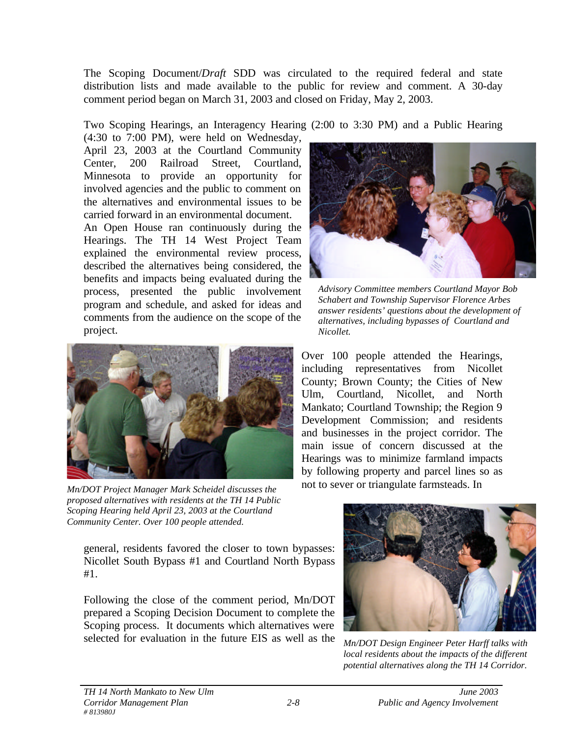The Scoping Document/*Draft* SDD was circulated to the required federal and state distribution lists and made available to the public for review and comment. A 30-day comment period began on March 31, 2003 and closed on Friday, May 2, 2003.

Two Scoping Hearings, an Interagency Hearing (2:00 to 3:30 PM) and a Public Hearing

(4:30 to 7:00 PM), were held on Wednesday, April 23, 2003 at the Courtland Community Center, 200 Railroad Street, Courtland, Minnesota to provide an opportunity for involved agencies and the public to comment on the alternatives and environmental issues to be carried forward in an environmental document.

An Open House ran continuously during the Hearings. The TH 14 West Project Team explained the environmental review process, described the alternatives being considered, the benefits and impacts being evaluated during the process, presented the public involvement program and schedule, and asked for ideas and comments from the audience on the scope of the project.



*Mn/DOT Project Manager Mark Scheidel discusses the proposed alternatives with residents at the TH 14 Public Scoping Hearing held April 23, 2003 at the Courtland Community Center. Over 100 people attended.*

general, residents favored the closer to town bypasses: Nicollet South Bypass #1 and Courtland North Bypass #1.

Following the close of the comment period, Mn/DOT prepared a Scoping Decision Document to complete the Scoping process. It documents which alternatives were selected for evaluation in the future EIS as well as the



*Advisory Committee members Courtland Mayor Bob Schabert and Township Supervisor Florence Arbes answer residents' questions about the development of alternatives, including bypasses of Courtland and Nicollet.* 

Over 100 people attended the Hearings, including representatives from Nicollet County; Brown County; the Cities of New Ulm, Courtland, Nicollet, and North Mankato; Courtland Township; the Region 9 Development Commission; and residents and businesses in the project corridor. The main issue of concern discussed at the Hearings was to minimize farmland impacts by following property and parcel lines so as not to sever or triangulate farmsteads. In



*Mn/DOT Design Engineer Peter Harff talks with local residents about the impacts of the different potential alternatives along the TH 14 Corridor.*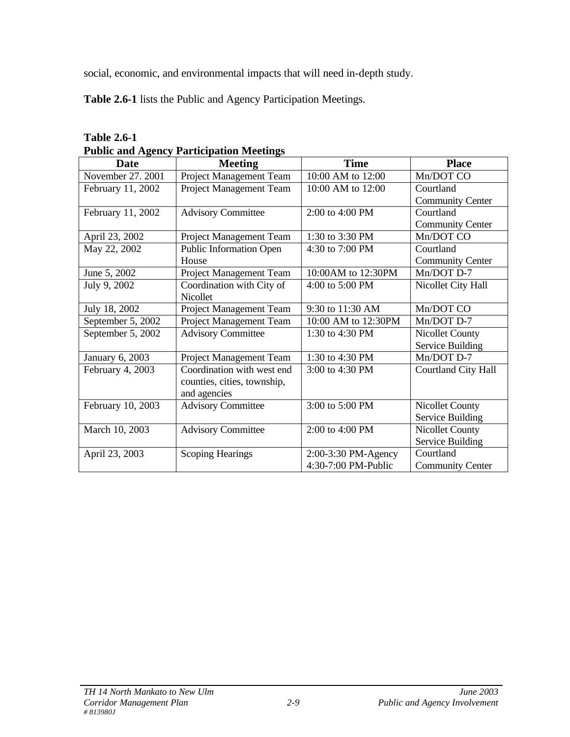social, economic, and environmental impacts that will need in-depth study.

**Table 2.6-1** lists the Public and Agency Participation Meetings.

| <b>Date</b>       | I unit and Agency I alucipation incentigs<br><b>Meeting</b> | <b>Time</b>         | <b>Place</b>            |
|-------------------|-------------------------------------------------------------|---------------------|-------------------------|
| November 27, 2001 | Project Management Team                                     | 10:00 AM to 12:00   | Mn/DOT CO               |
| February 11, 2002 | Project Management Team                                     | 10:00 AM to 12:00   | Courtland               |
|                   |                                                             |                     | <b>Community Center</b> |
| February 11, 2002 | <b>Advisory Committee</b>                                   | 2:00 to 4:00 PM     | Courtland               |
|                   |                                                             |                     | <b>Community Center</b> |
| April 23, 2002    | Project Management Team                                     | 1:30 to 3:30 PM     | Mn/DOT CO               |
| May 22, 2002      | <b>Public Information Open</b>                              | 4:30 to 7:00 PM     | Courtland               |
|                   | House                                                       |                     | <b>Community Center</b> |
| June 5, 2002      | Project Management Team                                     | 10:00AM to 12:30PM  | Mn/DOT D-7              |
| July 9, 2002      | Coordination with City of                                   | 4:00 to $5:00$ PM   | Nicollet City Hall      |
|                   | <b>Nicollet</b>                                             |                     |                         |
| July 18, 2002     | Project Management Team                                     | 9:30 to 11:30 AM    | Mn/DOT CO               |
| September 5, 2002 | Project Management Team                                     | 10:00 AM to 12:30PM | Mn/DOT D-7              |
| September 5, 2002 | <b>Advisory Committee</b>                                   | 1:30 to 4:30 PM     | Nicollet County         |
|                   |                                                             |                     | Service Building        |
| January 6, 2003   | Project Management Team                                     | 1:30 to 4:30 PM     | Mn/DOT D-7              |
| February 4, 2003  | Coordination with west end                                  | 3:00 to 4:30 PM     | Courtland City Hall     |
|                   | counties, cities, township,                                 |                     |                         |
|                   | and agencies                                                |                     |                         |
| February 10, 2003 | <b>Advisory Committee</b>                                   | 3:00 to 5:00 PM     | Nicollet County         |
|                   |                                                             |                     | <b>Service Building</b> |
| March 10, 2003    | <b>Advisory Committee</b>                                   | 2:00 to 4:00 PM     | <b>Nicollet County</b>  |
|                   |                                                             |                     | Service Building        |
| April 23, 2003    | <b>Scoping Hearings</b>                                     | 2:00-3:30 PM-Agency | Courtland               |
|                   |                                                             | 4:30-7:00 PM-Public | <b>Community Center</b> |

| <b>Table 2.6-1</b>                              |
|-------------------------------------------------|
| <b>Public and Agency Participation Meetings</b> |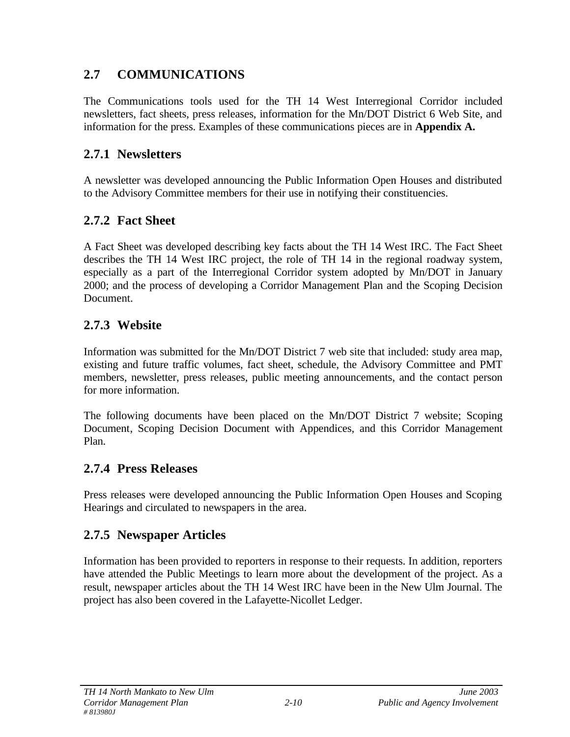## **2.7 COMMUNICATIONS**

The Communications tools used for the TH 14 West Interregional Corridor included newsletters, fact sheets, press releases, information for the Mn/DOT District 6 Web Site, and information for the press. Examples of these communications pieces are in **Appendix A.**

## **2.7.1 Newsletters**

A newsletter was developed announcing the Public Information Open Houses and distributed to the Advisory Committee members for their use in notifying their constituencies.

## **2.7.2 Fact Sheet**

A Fact Sheet was developed describing key facts about the TH 14 West IRC. The Fact Sheet describes the TH 14 West IRC project, the role of TH 14 in the regional roadway system, especially as a part of the Interregional Corridor system adopted by Mn/DOT in January 2000; and the process of developing a Corridor Management Plan and the Scoping Decision Document.

## **2.7.3 Website**

Information was submitted for the Mn/DOT District 7 web site that included: study area map, existing and future traffic volumes, fact sheet, schedule, the Advisory Committee and PMT members, newsletter, press releases, public meeting announcements, and the contact person for more information.

The following documents have been placed on the Mn/DOT District 7 website; Scoping Document, Scoping Decision Document with Appendices, and this Corridor Management Plan.

## **2.7.4 Press Releases**

Press releases were developed announcing the Public Information Open Houses and Scoping Hearings and circulated to newspapers in the area.

## **2.7.5 Newspaper Articles**

Information has been provided to reporters in response to their requests. In addition, reporters have attended the Public Meetings to learn more about the development of the project. As a result, newspaper articles about the TH 14 West IRC have been in the New Ulm Journal. The project has also been covered in the Lafayette-Nicollet Ledger.